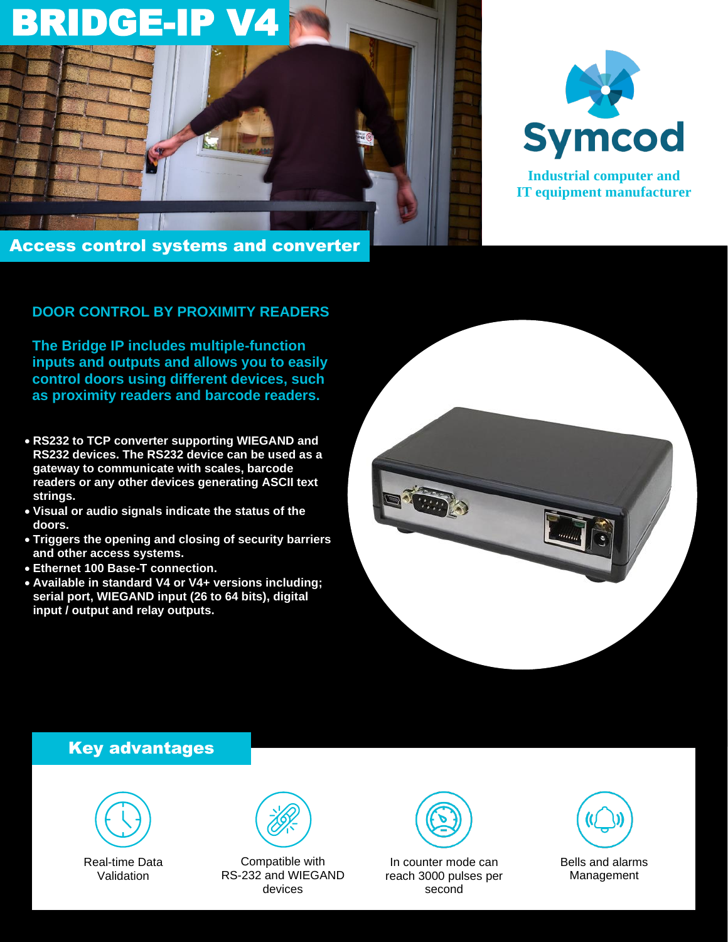



**Industrial computer and IT equipment manufacturer**

### **DOOR CONTROL BY PROXIMITY READERS**

**The Bridge IP includes multiple-function inputs and outputs and allows you to easily control doors using different devices, such as proximity readers and barcode readers.**

- **RS232 to TCP converter supporting WIEGAND and RS232 devices. The RS232 device can be used as a gateway to communicate with scales, barcode readers or any other devices generating ASCII text strings.**
- **Visual or audio signals indicate the status of the doors.**
- **Triggers the opening and closing of security barriers and other access systems.**
- **Ethernet 100 Base-T connection.**
- **Available in standard V4 or V4+ versions including; serial port, WIEGAND input (26 to 64 bits), digital input / output and relay outputs.**



## Key advantages



Real-time Data Validation



Compatible with RS-232 and WIEGAND devices



In counter mode can reach 3000 pulses per second



Bells and alarms Management